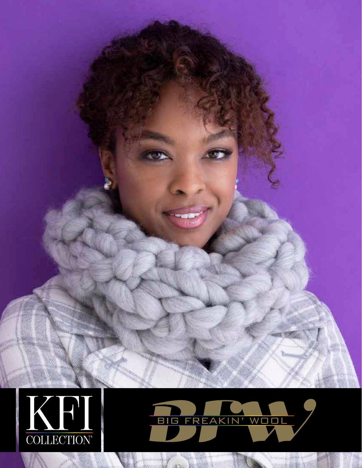